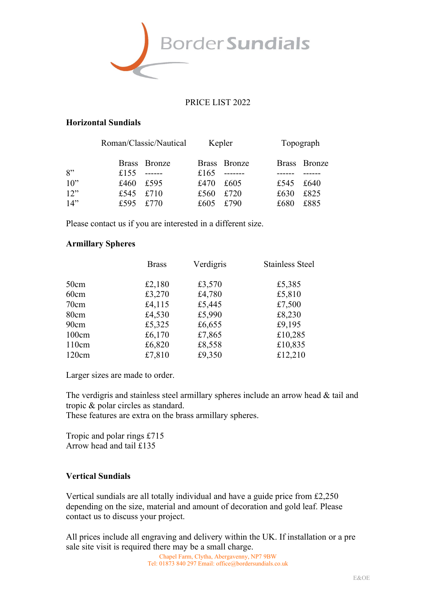

#### PRICE LIST 2022

#### **Horizontal Sundials**

|        | Roman/Classic/Nautical |              | Kepler |              | Topograph |              |
|--------|------------------------|--------------|--------|--------------|-----------|--------------|
|        |                        | Brass Bronze |        | Brass Bronze |           | Brass Bronze |
| 8"     | £155                   | $     -$     | £165   | ________     |           |              |
| $10$ " | £460                   | £595         | £470   | £605         | £545      | £640         |
| 12"    | £545                   | £710         | £560   | £720         | £630      | £825         |
| 14"    | £595                   | £770         | £605   | £790         | £680      | £885         |

Please contact us if you are interested in a different size.

#### **Armillary Spheres**

|       | <b>Brass</b> | Verdigris | <b>Stainless Steel</b> |
|-------|--------------|-----------|------------------------|
| 50cm  | £2,180       | £3,570    | £5,385                 |
| 60cm  | £3,270       | £4,780    | £5,810                 |
| 70cm  | £4,115       | £5,445    | £7,500                 |
| 80cm  | £4,530       | £5,990    | £8,230                 |
| 90cm  | £5,325       | £6,655    | £9,195                 |
| 100cm | £6,170       | £7,865    | £10,285                |
| 110cm | £6,820       | £8,558    | £10,835                |
| 120cm | £7,810       | £9,350    | £12,210                |

Larger sizes are made to order.

The verdigris and stainless steel armillary spheres include an arrow head & tail and tropic & polar circles as standard.

These features are extra on the brass armillary spheres.

Tropic and polar rings £715 Arrow head and tail £135

### **Vertical Sundials**

Vertical sundials are all totally individual and have a guide price from £2,250 depending on the size, material and amount of decoration and gold leaf. Please contact us to discuss your project.

All prices include all engraving and delivery within the UK. If installation or a pre sale site visit is required there may be a small charge.

Chapel Farm, Clytha, Abergavenny, NP7 9BW Tel: 01873 840 297 Email: office@bordersundials.co.uk